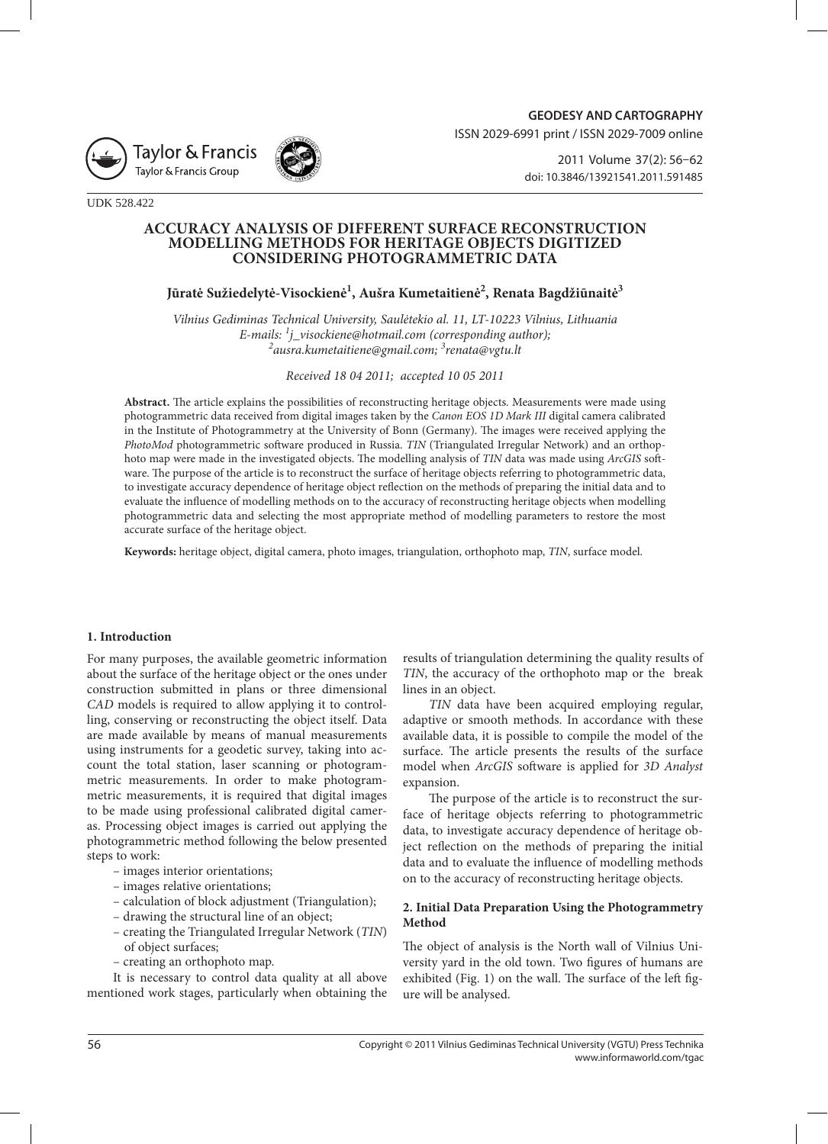2011 Volume 37(2): 56–62 doi: 10.3846/13921541.2011.591485





udk 528.422

## **ACCURACY ANALYSIS OF DIFFERENT SURFACE RECONSTRUCTION MODELLING METHODS FOR HERITAGE OBJECTS DIGITIZED CONSIDERING PHOTOGRAMMETRIC DATA**

# Jūratė Sužiedelytė-Visockienė<sup>1</sup>, Aušra Kumetaitienė<sup>2</sup>, Renata Bagdžiūnaitė<sup>3</sup>

*Vilnius Gediminas Technical University, Saulėtekio al. 11, LT-10223 Vilnius, Lithuania E-mails: <sup>1</sup> [j\\_visockiene@hotmail.com](mailto:j_visockiene@hotmail.com) (corresponding author); 2 [ausra.kumetaitiene@gmail.com;](mailto:a.kumetaitiene@.....lt) <sup>3</sup> [renata@vgtu.lt](mailto:3renata@vgtu.lt)*

### *Received 18 04 2011; accepted 10 05 2011*

**Abstract.** The article explains the possibilities of reconstructing heritage objects. Measurements were made using photogrammetric data received from digital images taken by the *Canon EOS 1D Mark III* digital camera calibrated in the Institute of Photogrammetry at the University of Bonn (Germany). The images were received applying the *PhotoMod* photogrammetric software produced in Russia. *TIN* (Triangulated Irregular Network) and an orthophoto map were made in the investigated objects. The modelling analysis of *TIN* data was made using *ArcGIS* software. The purpose of the article is to reconstruct the surface of heritage objects referring to photogrammetric data, to investigate accuracy dependence of heritage object reflection on the methods of preparing the initial data and to evaluate the influence of modelling methods on to the accuracy of reconstructing heritage objects when modelling photogrammetric data and selecting the most appropriate method of modelling parameters to restore the most accurate surface of the heritage object.

**Keywords:** heritage object, digital camera, photo images, triangulation, orthophoto map, *TIN*, surface model.

### **1. Introduction**

For many purposes, the available geometric information about the surface of the heritage object or the ones under construction submitted in plans or three dimensional *CAD* models is required to allow applying it to controlling, conserving or reconstructing the object itself. Data are made available by means of manual measurements using instruments for a geodetic survey, taking into account the total station, laser scanning or photogrammetric measurements. In order to make photogrammetric measurements, it is required that digital images to be made using professional calibrated digital cameras. Processing object images is carried out applying the photogrammetric method following the below presented steps to work:

- images interior orientations;
- images relative orientations;
- calculation of block adjustment (Triangulation);
- drawing the structural line of an object;
- creating the Triangulated Irregular Network (*TIN*) of object surfaces;
- creating an orthophoto map.

It is necessary to control data quality at all above mentioned work stages, particularly when obtaining the

results of triangulation determining the quality results of *TIN*, the accuracy of the orthophoto map or the break lines in an object.

*TIN* data have been acquired employing regular, adaptive or smooth methods. In accordance with these available data, it is possible to compile the model of the surface. The article presents the results of the surface model when *ArcGIS* software is applied for *3D Analyst* expansion.

The purpose of the article is to reconstruct the surface of heritage objects referring to photogrammetric data, to investigate accuracy dependence of heritage object reflection on the methods of preparing the initial data and to evaluate the influence of modelling methods on to the accuracy of reconstructing heritage objects.

## **2. Initial Data Preparation Using the Photogrammetry Method**

The object of analysis is the North wall of Vilnius University yard in the old town. Two figures of humans are exhibited (Fig. 1) on the wall. The surface of the left figure will be analysed.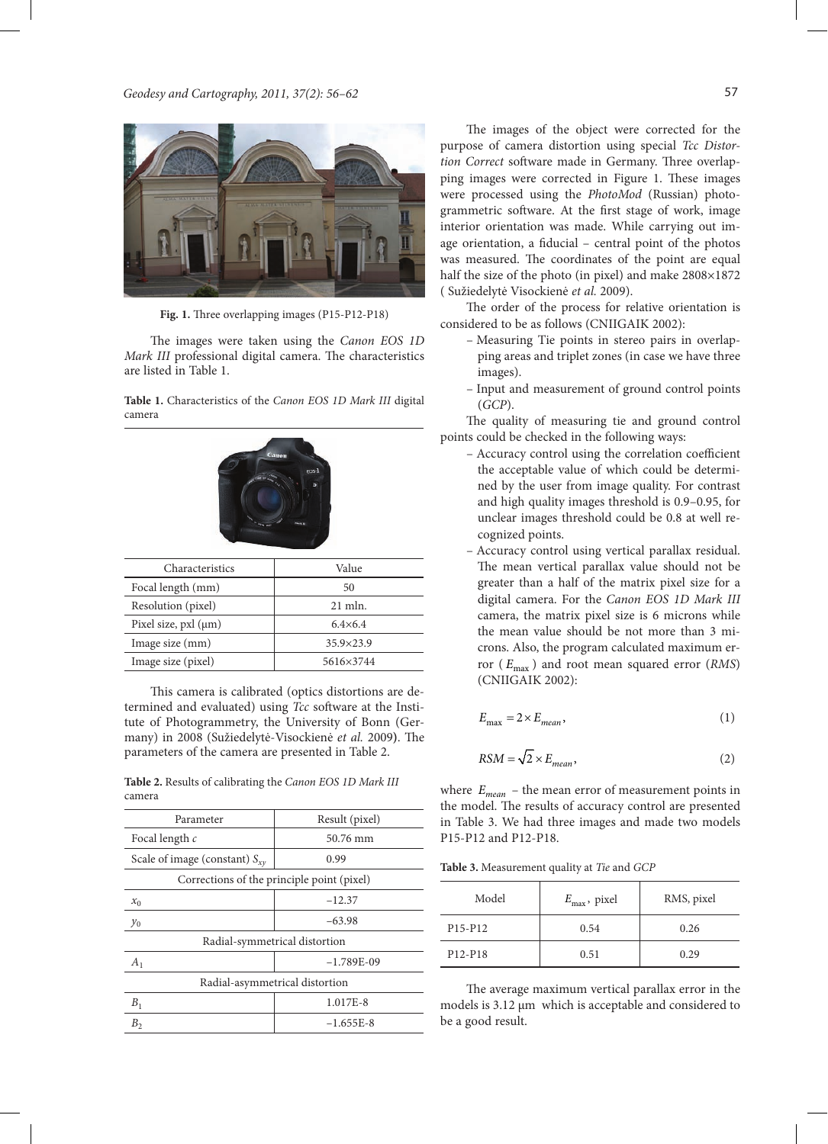

**Fig. 1.** Three overlapping images (P15-P12-P18)

The images were taken using the *Canon EOS 1D Mark III* professional digital camera. The characteristics are listed in Table 1.

**Table 1.** Characteristics of the *Canon EOS 1D Mark III* digital camera



| Characteristics              | Value              |  |
|------------------------------|--------------------|--|
| Focal length (mm)            | 50                 |  |
| Resolution (pixel)           | $21$ mln.          |  |
| Pixel size, $pxl$ ( $\mu$ m) | $6.4\times 6.4$    |  |
| Image size (mm)              | $35.9 \times 23.9$ |  |
| Image size (pixel)           | 5616×3744          |  |

This camera is calibrated (optics distortions are determined and evaluated) using *Tcc* software at the Institute of Photogrammetry, the University of Bonn (Germany) in 2008 (Sužiedelytė-Visockienė *et al.* 2009**)**. The parameters of the camera are presented in Table 2.

| Table 2. Results of calibrating the Canon EOS 1D Mark III |  |
|-----------------------------------------------------------|--|
| camera                                                    |  |

| Result (pixel)                             |  |  |  |
|--------------------------------------------|--|--|--|
| 50.76 mm                                   |  |  |  |
| 0.99                                       |  |  |  |
| Corrections of the principle point (pixel) |  |  |  |
| $-12.37$                                   |  |  |  |
| $-63.98$                                   |  |  |  |
| Radial-symmetrical distortion              |  |  |  |
| $-1.789E-09$                               |  |  |  |
| Radial-asymmetrical distortion             |  |  |  |
| 1.017E-8                                   |  |  |  |
| $-1.655E-8$                                |  |  |  |
|                                            |  |  |  |

The images of the object were corrected for the purpose of camera distortion using special *Tcc Distortion Correct* software made in Germany. Three overlapping images were corrected in Figure 1. These images were processed using the *PhotoMod* (Russian) photogrammetric software. At the first stage of work, image interior orientation was made. While carrying out image orientation, a fiducial – central point of the photos was measured. The coordinates of the point are equal half the size of the photo (in pixel) and make 2808×1872 ( Sužiedelytė Visockienė *et al.* 2009).

The order of the process for relative orientation is considered to be as follows (CNIIGAIK 2002):

- Measuring Tie points in stereo pairs in overlapping areas and triplet zones (in case we have three images).
- Input and measurement of ground control points (*GCP*).

The quality of measuring tie and ground control points could be checked in the following ways:

- Accuracy control using the correlation coefficient the acceptable value of which could be determined by the user from image quality. For contrast and high quality images threshold is 0.9–0.95, for unclear images threshold could be 0.8 at well recognized points.
- Accuracy control using vertical parallax residual. The mean vertical parallax value should not be greater than a half of the matrix pixel size for a digital camera. For the *Canon EOS 1D Mark III* camera, the matrix pixel size is 6 microns while the mean value should be not more than 3 microns. Also, the program calculated maximum error ( *E*max ) and root mean squared error (*RMS*) (CNIIGAIK 2002):

$$
E_{\text{max}} = 2 \times E_{\text{mean}},\tag{1}
$$

$$
RSM = \sqrt{2} \times E_{mean},
$$
 (2)

where  $E_{mean}$  – the mean error of measurement points in the model. The results of accuracy control are presented in Table 3. We had three images and made two models P15-P12 and P12-P18.

**Table 3.** Measurement quality at *Tie* and *GCP*

| Model                                    | $E_{\text{max}}$ , pixel | RMS, pixel |
|------------------------------------------|--------------------------|------------|
| P <sub>15</sub> -P <sub>12</sub>         | 0.54                     | 0.26       |
| P <sub>12</sub> -P <sub>18</sub><br>0.51 |                          | 0.29       |

The average maximum vertical parallax error in the models is 3.12  $\mu$ m which is acceptable and considered to be a good result.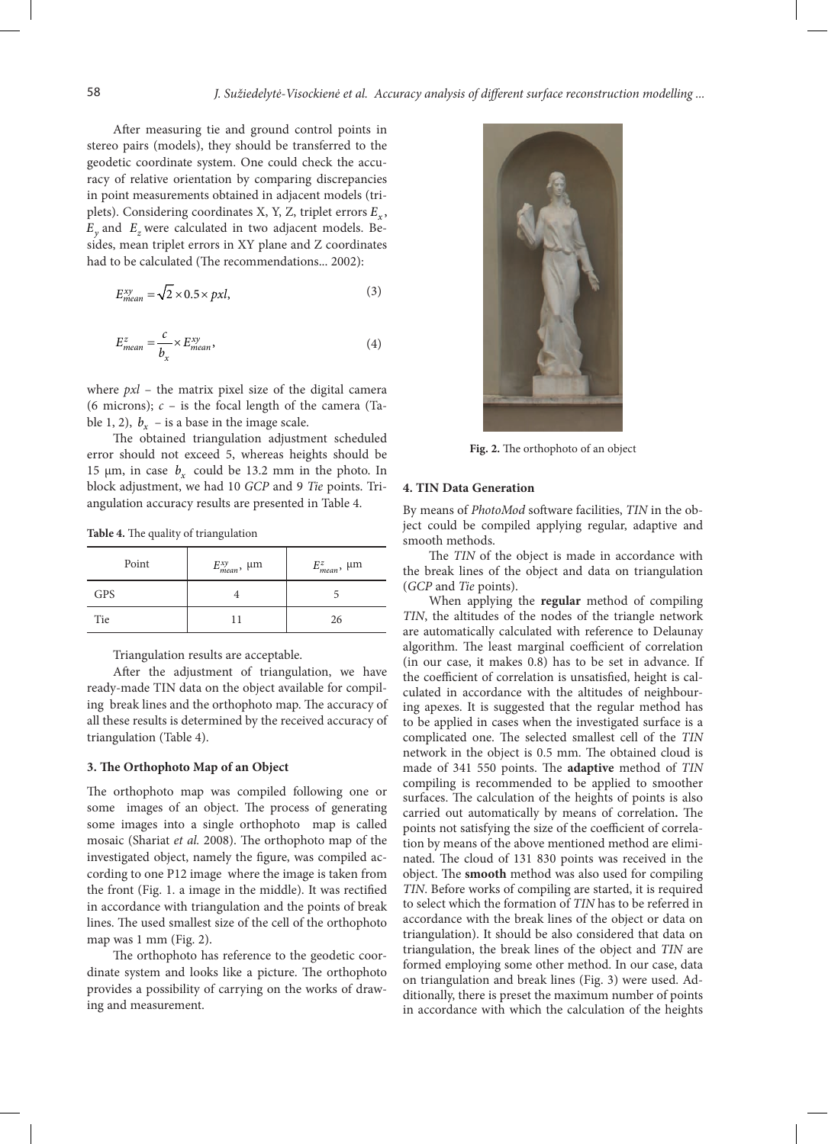After measuring tie and ground control points in stereo pairs (models), they should be transferred to the geodetic coordinate system. One could check the accuracy of relative orientation by comparing discrepancies in point measurements obtained in adjacent models (triplets). Considering coordinates X, Y, Z, triplet errors  $E_x$ , *E*<sub>v</sub> and *E*<sub>z</sub> were calculated in two adjacent models. Besides, mean triplet errors in XY plane and Z coordinates had to be calculated (The recommendations... 2002):

$$
E_{mean}^{xy} = \sqrt{2} \times 0.5 \times pxl,
$$
\n(3)

$$
E_{mean}^{z} = \frac{c}{b_{x}} \times E_{mean}^{xy},
$$
\n(4)

where *pxl* – the matrix pixel size of the digital camera (6 microns);  $c -$  is the focal length of the camera (Table 1, 2),  $b_x$  – is a base in the image scale.

The obtained triangulation adjustment scheduled error should not exceed 5, whereas heights should be 15  $\mu$ m, in case  $b_r$  could be 13.2 mm in the photo. In block adjustment, we had 10 *GCP* and 9 *Tie* points. Triangulation accuracy results are presented in Table 4.

| Table 4. The quality of triangulation |  |  |  |
|---------------------------------------|--|--|--|
|---------------------------------------|--|--|--|

| Point<br>$E_{mean}^{xy}$ , µm |  | $E_{mean}^z$ , µm |  |  |
|-------------------------------|--|-------------------|--|--|
| <b>GPS</b>                    |  |                   |  |  |
| Tie                           |  | 26                |  |  |

Triangulation results are acceptable.

After the adjustment of triangulation, we have ready-made TIN data on the object available for compiling break lines and the orthophoto map. The accuracy of all these results is determined by the received accuracy of triangulation (Table 4).

#### **3. The Orthophoto Map of an Object**

The orthophoto map was compiled following one or some images of an object. The process of generating some images into a single orthophoto map is called mosaic (Shariat *et al.* 2008). The orthophoto map of the investigated object, namely the figure, was compiled according to one P12 image where the image is taken from the front (Fig. 1. a image in the middle). It was rectified in accordance with triangulation and the points of break lines. The used smallest size of the cell of the orthophoto map was 1 mm (Fig. 2).

The orthophoto has reference to the geodetic coordinate system and looks like a picture. The orthophoto provides a possibility of carrying on the works of drawing and measurement.



**Fig. 2.** The orthophoto of an object

#### **4. TIN Data Generation**

By means of *PhotoMod* software facilities, *TIN* in the object could be compiled applying regular, adaptive and smooth methods.

The *TIN* of the object is made in accordance with the break lines of the object and data on triangulation (*GCP* and *Tie* points).

When applying the **regular** method of compiling *TIN*, the altitudes of the nodes of the triangle network are automatically calculated with reference to Delaunay algorithm. The least marginal coefficient of correlation (in our case, it makes 0.8) has to be set in advance. If the coefficient of correlation is unsatisfied, height is calculated in accordance with the altitudes of neighbouring apexes. It is suggested that the regular method has to be applied in cases when the investigated surface is a complicated one. The selected smallest cell of the *TIN* network in the object is 0.5 mm. The obtained cloud is made of 341 550 points. The **adaptive** method of *TIN* compiling is recommended to be applied to smoother surfaces. The calculation of the heights of points is also carried out automatically by means of correlation**.** The points not satisfying the size of the coefficient of correlation by means of the above mentioned method are eliminated. The cloud of 131 830 points was received in the object. The **smooth** method was also used for compiling *TIN*. Before works of compiling are started, it is required to select which the formation of *TIN* has to be referred in accordance with the break lines of the object or data on triangulation). It should be also considered that data on triangulation, the break lines of the object and *TIN* are formed employing some other method. In our case, data on triangulation and break lines (Fig. 3) were used. Additionally, there is preset the maximum number of points in accordance with which the calculation of the heights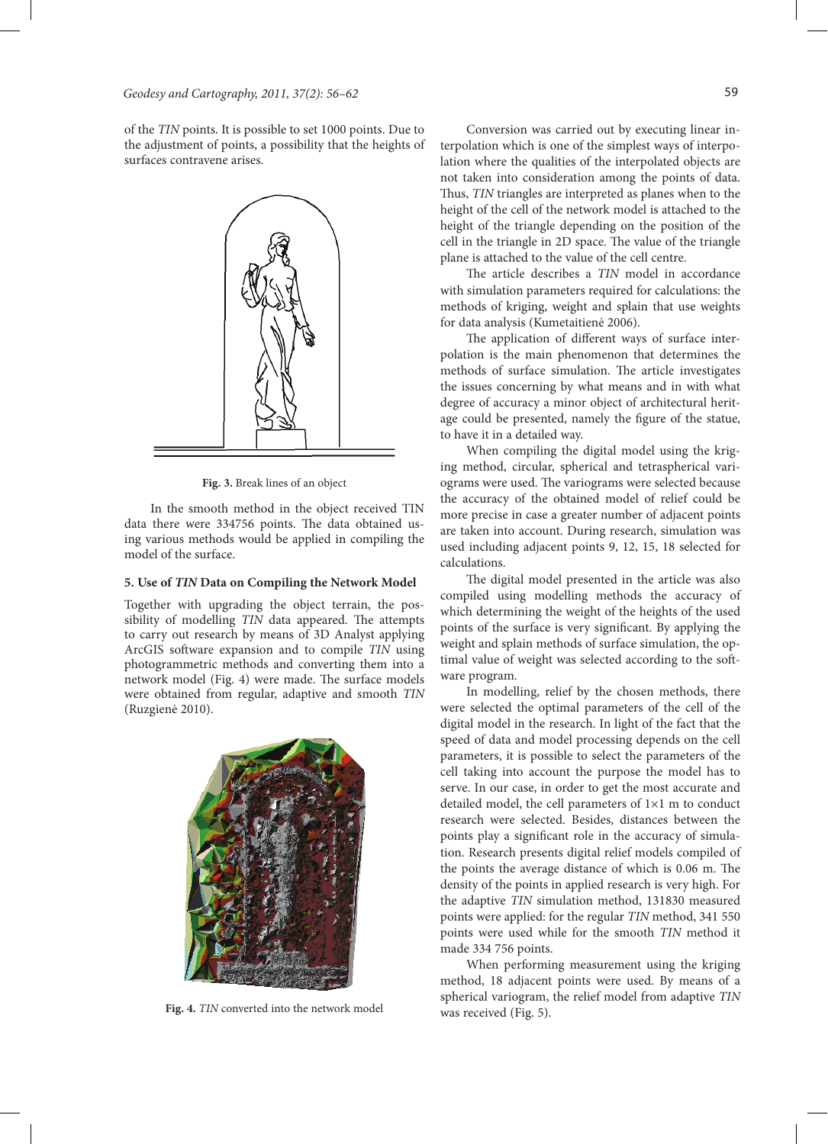of the *TIN* points. It is possible to set 1000 points. Due to the adjustment of points, a possibility that the heights of surfaces contravene arises.



**Fig. 3.** Break lines of an object

In the smooth method in the object received TIN data there were 334756 points. The data obtained using various methods would be applied in compiling the model of the surface.

#### **5. Use of** *tin* **Data on Compiling the Network Model**

Together with upgrading the object terrain, the possibility of modelling *TIN* data appeared. The attempts to carry out research by means of 3D Analyst applying ArcGIS software expansion and to compile *TIN* using photogrammetric methods and converting them into a network model (Fig. 4) were made. The surface models were obtained from regular, adaptive and smooth *TIN* (Ruzgienė 2010).



**Fig. 4.** *TIN* converted into the network model

Conversion was carried out by executing linear interpolation which is one of the simplest ways of interpolation where the qualities of the interpolated objects are not taken into consideration among the points of data. Thus, *TIN* triangles are interpreted as planes when to the height of the cell of the network model is attached to the height of the triangle depending on the position of the cell in the triangle in 2D space. The value of the triangle plane is attached to the value of the cell centre.

The article describes a *TIN* model in accordance with simulation parameters required for calculations: the methods of kriging, weight and splain that use weights for data analysis (Kumetaitienė 2006).

The application of different ways of surface interpolation is the main phenomenon that determines the methods of surface simulation. The article investigates the issues concerning by what means and in with what degree of accuracy a minor object of architectural heritage could be presented, namely the figure of the statue, to have it in a detailed way.

When compiling the digital model using the kriging method, circular, spherical and tetraspherical variograms were used. The variograms were selected because the accuracy of the obtained model of relief could be more precise in case a greater number of adjacent points are taken into account. During research, simulation was used including adjacent points 9, 12, 15, 18 selected for calculations.

The digital model presented in the article was also compiled using modelling methods the accuracy of which determining the weight of the heights of the used points of the surface is very significant. By applying the weight and splain methods of surface simulation, the optimal value of weight was selected according to the software program.

In modelling, relief by the chosen methods, there were selected the optimal parameters of the cell of the digital model in the research. In light of the fact that the speed of data and model processing depends on the cell parameters, it is possible to select the parameters of the cell taking into account the purpose the model has to serve. In our case, in order to get the most accurate and detailed model, the cell parameters of 1×1 m to conduct research were selected. Besides, distances between the points play a significant role in the accuracy of simulation. Research presents digital relief models compiled of the points the average distance of which is 0.06 m. The density of the points in applied research is very high. For the adaptive *TIN* simulation method, 131830 measured points were applied: for the regular *TIN* method, 341 550 points were used while for the smooth *TIN* method it made 334 756 points.

When performing measurement using the kriging method, 18 adjacent points were used. By means of a spherical variogram, the relief model from adaptive *TIN* was received (Fig. 5).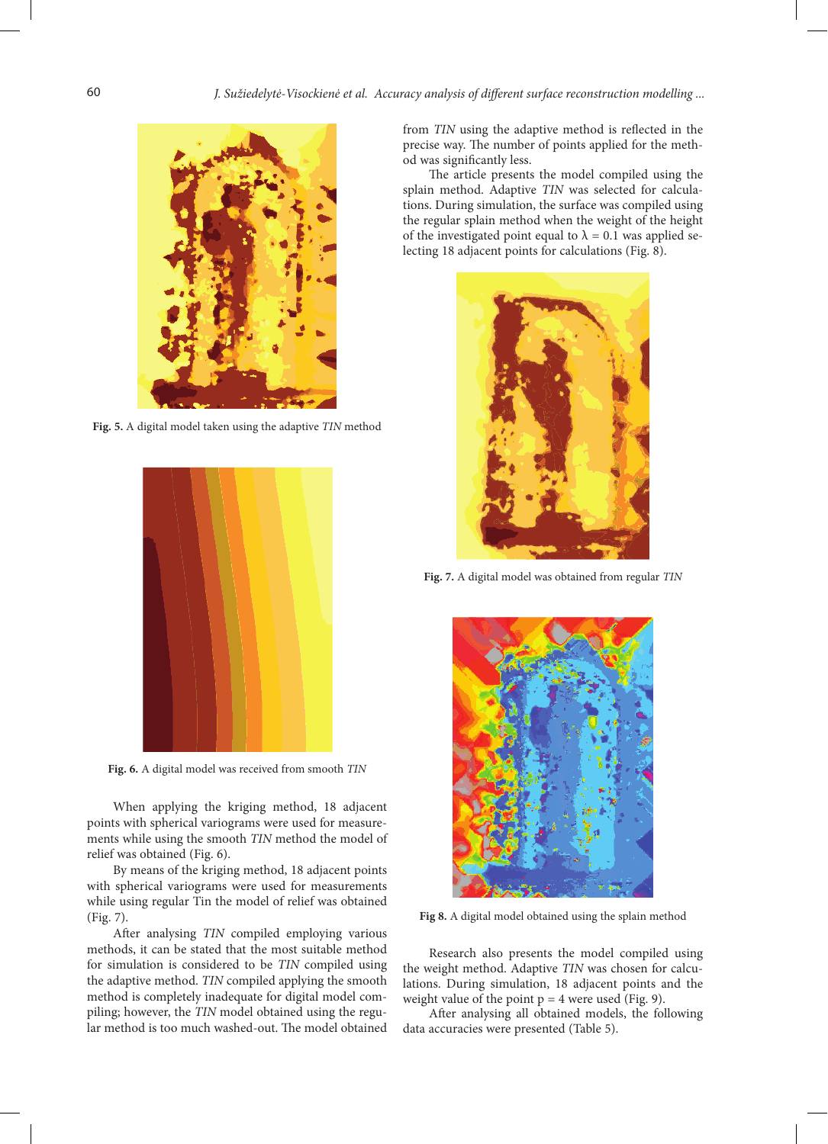

**Fig. 5.** A digital model taken using the adaptive *TIN* method



**Fig. 6.** A digital model was received from smooth *TIN*

When applying the kriging method, 18 adjacent points with spherical variograms were used for measurements while using the smooth *TIN* method the model of relief was obtained (Fig. 6).

By means of the kriging method, 18 adjacent points with spherical variograms were used for measurements while using regular Tin the model of relief was obtained (Fig. 7).

After analysing *TIN* compiled employing various methods, it can be stated that the most suitable method for simulation is considered to be *TIN* compiled using the adaptive method. *TIN* compiled applying the smooth method is completely inadequate for digital model compiling; however, the *TIN* model obtained using the regular method is too much washed-out. The model obtained

from *TIN* using the adaptive method is reflected in the precise way. The number of points applied for the method was significantly less.

The article presents the model compiled using the splain method. Adaptive *TIN* was selected for calculations. During simulation, the surface was compiled using the regular splain method when the weight of the height of the investigated point equal to  $\lambda = 0.1$  was applied selecting 18 adjacent points for calculations (Fig. 8).



**Fig. 7.** A digital model was obtained from regular *TIN*



**Fig 8.** A digital model obtained using the splain method

Research also presents the model compiled using the weight method. Adaptive *TIN* was chosen for calculations. During simulation, 18 adjacent points and the weight value of the point  $p = 4$  were used (Fig. 9).

After analysing all obtained models, the following data accuracies were presented (Table 5).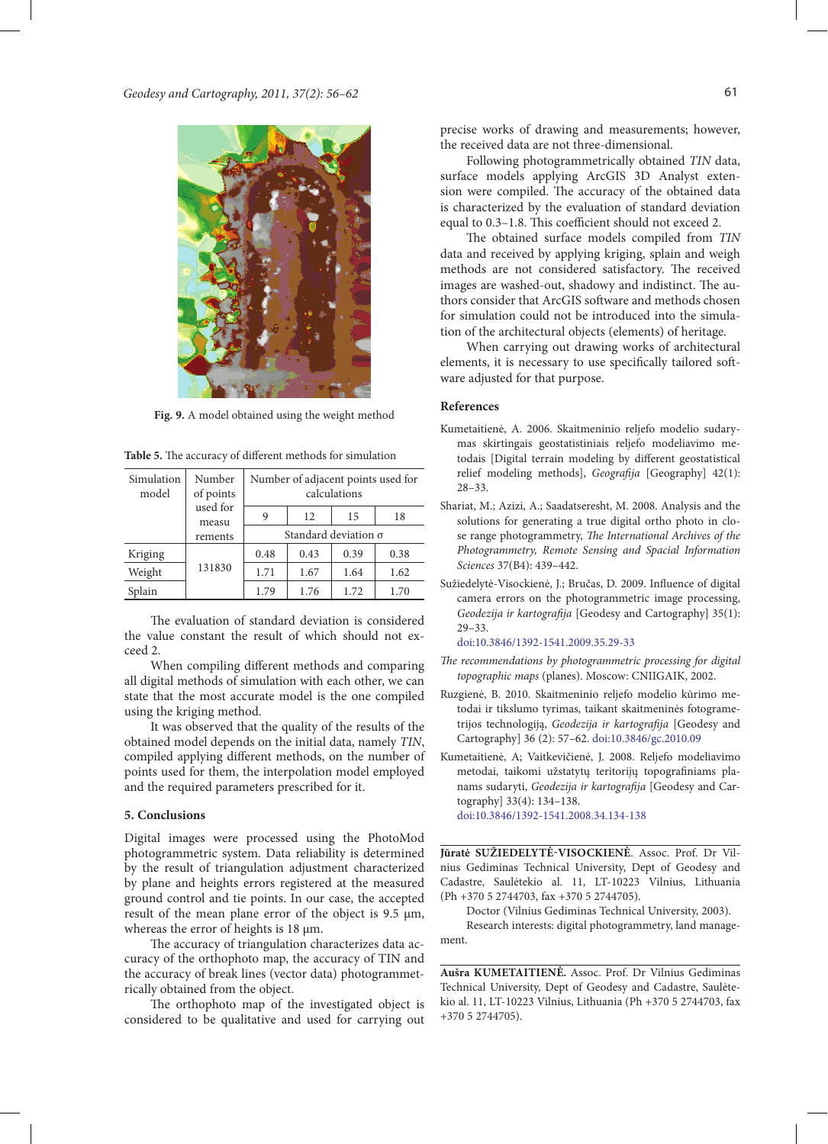

**Fig. 9.** A model obtained using the weight method

| Simulation<br>model | Number<br>of points |                             | Number of adjacent points used for<br>calculations |      |      |  |
|---------------------|---------------------|-----------------------------|----------------------------------------------------|------|------|--|
|                     | used for<br>measu   | 9                           | 12                                                 | 15   | 18   |  |
|                     | rements             | Standard deviation $\sigma$ |                                                    |      |      |  |
| Kriging             | 131830              | 0.48                        | 0.43                                               | 0.39 | 0.38 |  |
| Weight              |                     | 1.71                        | 1.67                                               | 1.64 | 1.62 |  |
| Splain              |                     | 1.79                        | 1.76                                               | 1.72 | 1.70 |  |

**Table 5.** The accuracy of different methods for simulation

The evaluation of standard deviation is considered the value constant the result of which should not exceed 2.

When compiling different methods and comparing all digital methods of simulation with each other, we can state that the most accurate model is the one compiled using the kriging method.

It was observed that the quality of the results of the obtained model depends on the initial data, namely *TIN*, compiled applying different methods, on the number of points used for them, the interpolation model employed and the required parameters prescribed for it.

#### **5. Conclusions**

Digital images were processed using the PhotoMod photogrammetric system. Data reliability is determined by the result of triangulation adjustment characterized by plane and heights errors registered at the measured ground control and tie points. In our case, the accepted result of the mean plane error of the object is 9.5 µm, whereas the error of heights is 18  $\mu$ m.

The accuracy of triangulation characterizes data accuracy of the orthophoto map, the accuracy of TIN and the accuracy of break lines (vector data) photogrammetrically obtained from the object.

The orthophoto map of the investigated object is considered to be qualitative and used for carrying out precise works of drawing and measurements; however, the received data are not three-dimensional.

Following photogrammetrically obtained *TIN* data, surface models applying ArcGIS 3D Analyst extension were compiled. The accuracy of the obtained data is characterized by the evaluation of standard deviation equal to 0.3–1.8. This coefficient should not exceed 2.

The obtained surface models compiled from *TIN*  data and received by applying kriging, splain and weigh methods are not considered satisfactory. The received images are washed-out, shadowy and indistinct. The authors consider that ArcGIS software and methods chosen for simulation could not be introduced into the simulation of the architectural objects (elements) of heritage.

When carrying out drawing works of architectural elements, it is necessary to use specifically tailored software adjusted for that purpose.

#### **References**

- Kumetaitienė, A. 2006. Skaitmeninio reljefo modelio sudarymas skirtingais geostatistiniais reljefo modeliavimo metodais [Digital terrain modeling by different geostatistical relief modeling methods], *Geografija* [Geography] 42(1): 28–33.
- Shariat, M.; Azizi, A.; Saadatseresht, M. 2008. Analysis and the solutions for generating a true digital ortho photo in close range photogrammetry, *The International Archives of the Photogrammetry, Remote Sensing and Spacial Information Sciences* 37(B4): 439–442.
- Sužiedelytė-Visockienė, J.; Bručas, D. 2009. Influence of digital camera errors on the photogrammetric image processing, *Geodezija ir kartografija* [Geodesy and Cartography] 35(1): 29–33.

[doi:10.3846/1392-1541.2009.35.29-33](http://dx.doi.org/10.3846/1392-1541.2009.35.29-33)

- *The recommendations by photogrammetric processing for digital topographic maps* (planes). Moscow: CNIIGAIK, 2002.
- Ruzgienė, B. 2010. Skaitmeninio reljefo modelio kūrimo metodai ir tikslumo tyrimas, taikant skaitmeninės fotogrametrijos technologiją, *Geodezija ir kartografija* [Geodesy and Cartography] 36 (2): 57–62. [doi:10.3846/gc.2010.09](http://dx.doi.org/10.3846/gc.2010.09)
- Kumetaitienė, A; Vaitkevičienė, j. 2008. Reljefo modeliavimo metodai, taikomi užstatytų teritorijų topografiniams planams sudaryti, *Geodezija ir kartografija* [Geodesy and Cartography] 33(4): 134–138. [doi:10.3846/1392-1541.2008.34.134-138](http://dx.doi.org/10.3846/1392-1541.2008.34.134-138)

**Jūratė SUžIEDELYTė-VISOCKIENė**. Assoc. Prof. Dr Vilnius Gediminas Technical University, Dept of Geodesy and Cadastre, Saulėtekio al. 11, LT-10223 Vilnius, Lithuania (Ph +370 5 2744703, fax +370 5 2744705).

Doctor (Vilnius Gediminas Technical University, 2003).

Research interests: digital photogrammetry, land management.

**Aušra KUMETAITIENė.** Assoc. Prof. Dr Vilnius Gediminas Technical University, Dept of Geodesy and Cadastre, Saulėtekio al. 11, LT-10223 Vilnius, Lithuania (Ph +370 5 2744703, fax +370 5 2744705).